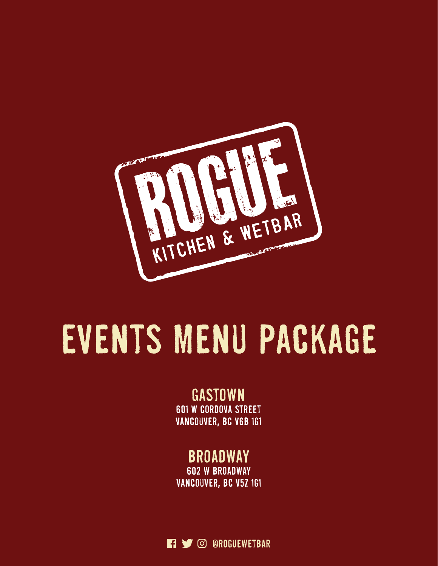

# EVENTS MENU PACKAGE

### gastown 601 w cordova street vancouver, bc v6b 1g1

# **BROADWAY**

602 w broadway vancouver, bc v5z 1g1

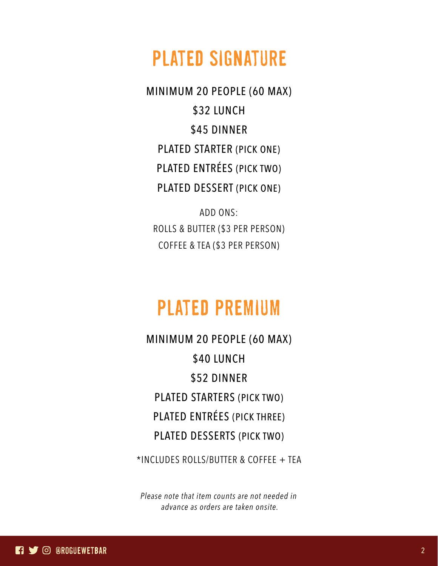# plated signature

MINIMUM 20 PEOPLE (60 MAX) \$32 LUNCH \$45 DINNER PLATED STARTER (PICK ONE) PLATED ENTRÉES (PICK TWO) PLATED DESSERT (PICK ONE)

ADD ONS: ROLLS & BUTTER (\$3 PER PERSON) COFFEE & TEA (\$3 PER PERSON)

# plated premium

MINIMUM 20 PEOPLE (60 MAX) \$40 LUNCH \$52 DINNER PLATED STARTERS (PICK TWO) PLATED ENTRÉES (PICK THREE) PLATED DESSERTS (PICK TWO)

\*INCLUDES ROLLS/BUTTER & COFFEE + TEA

*Please note that item counts are not needed in advance as orders are taken onsite.*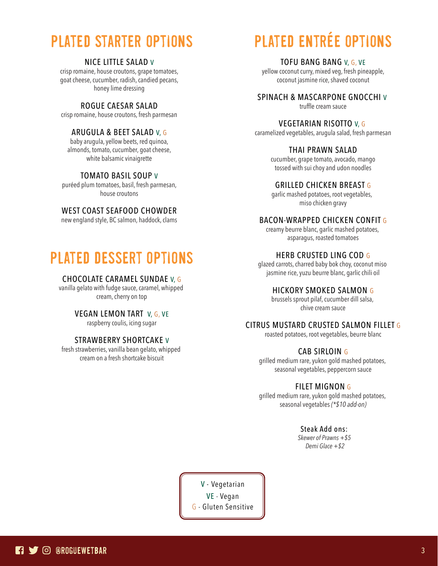# plated starter options

#### NICE LITTLE SALAD V

crisp romaine, house croutons, grape tomatoes, goat cheese, cucumber, radish, candied pecans, honey lime dressing

#### ROGUE CAESAR SALAD

crisp romaine, house croutons, fresh parmesan

#### ARUGULA & BEET SALAD V, G

baby arugula, yellow beets, red quinoa, almonds, tomato, cucumber, goat cheese, white balsamic vinaigrette

#### TOMATO BASIL SOUP V

puréed plum tomatoes, basil, fresh parmesan, house croutons

#### WEST COAST SEAFOOD CHOWDER

new england style, BC salmon, haddock, clams

# plated dessert options

#### CHOCOLATE CARAMEL SUNDAE V, G

vanilla gelato with fudge sauce, caramel, whipped cream, cherry on top

#### VEGAN LEMON TART V, G, VE

raspberry coulis, icing sugar

#### STRAWBERRY SHORTCAKE V

fresh strawberries, vanilla bean gelato, whipped cream on a fresh shortcake biscuit

# plated entrée options

#### TOFU BANG BANG V, G, VE

yellow coconut curry, mixed veg, fresh pineapple, coconut jasmine rice, shaved coconut

#### SPINACH & MASCARPONE GNOCCHI V

truffle cream sauce

#### VEGETARIAN RISOTTO V, G

caramelized vegetables, arugula salad, fresh parmesan

#### THAI PRAWN SALAD

cucumber, grape tomato, avocado, mango tossed with sui choy and udon noodles

#### GRILLED CHICKEN BREAST G

garlic mashed potatoes, root vegetables, miso chicken gravy

#### BACON-WRAPPED CHICKEN CONFIT G

creamy beurre blanc, garlic mashed potatoes, asparagus, roasted tomatoes

#### HERB CRUSTED LING COD G

glazed carrots, charred baby bok choy, coconut miso jasmine rice, yuzu beurre blanc, garlic chili oil

#### HICKORY SMOKED SALMON G

brussels sprout pilaf, cucumber dill salsa, chive cream sauce

#### CITRUS MUSTARD CRUSTED SALMON FILLET G

roasted potatoes, root vegetables, beurre blanc

#### CAB SIRLOIN G

grilled medium rare, yukon gold mashed potatoes, seasonal vegetables, peppercorn sauce

#### FILET MIGNON G

grilled medium rare, yukon gold mashed potatoes, seasonal vegetables *(\*\$10 add-on)*

#### Steak Add ons:

*Skewer of Prawns +\$5 Demi Glace +\$2*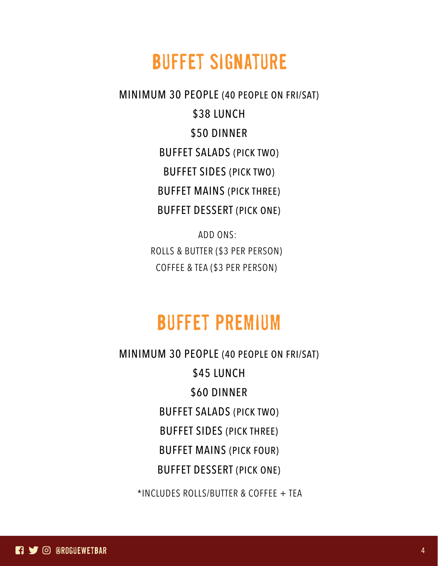# buffet signature

MINIMUM 30 PEOPLE (40 PEOPLE ON FRI/SAT) \$38 LUNCH \$50 DINNER BUFFET SALADS (PICK TWO) BUFFET SIDES (PICK TWO) BUFFET MAINS (PICK THREE) BUFFET DESSERT (PICK ONE)

> ADD ONS: ROLLS & BUTTER (\$3 PER PERSON) COFFEE & TEA (\$3 PER PERSON)

# buffet premium

MINIMUM 30 PEOPLE (40 PEOPLE ON FRI/SAT) \$45 LUNCH \$60 DINNER BUFFET SALADS (PICK TWO) BUFFET SIDES (PICK THREE) BUFFET MAINS (PICK FOUR) BUFFET DESSERT (PICK ONE)

\*INCLUDES ROLLS/BUTTER & COFFEE + TEA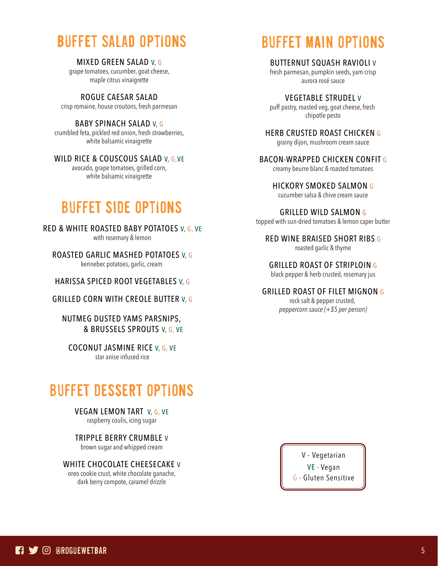# buffet salad options

MIXED GREEN SALAD V, G grape tomatoes, cucumber, goat cheese, maple citrus vinaigrette

ROGUE CAESAR SALAD crisp romaine, house croutons, fresh parmesan

BABY SPINACH SALAD V, G crumbled feta, pickled red onion, fresh strawberries, white balsamic vinaigrette

WILD RICE & COUSCOUS SALAD V, G, VE

avocado, grape tomatoes, grilled corn, white balsamic vinaigrette

### BUFFET SIDE options

RED & WHITE ROASTED BABY POTATOES V, G, VE with rosemary & lemon

ROASTED GARLIC MASHED POTATOES V, G kennebec potatoes, garlic, cream

HARISSA SPICED ROOT VEGETABLES V, G

GRILLED CORN WITH CREOLE BUTTER V, G

NUTMEG DUSTED YAMS PARSNIPS, & BRUSSELS SPROUTS V, G, VE

COCONUT JASMINE RICE V, G, VE star anise infused rice

### BUFFET DESSERT options

VEGAN LEMON TART V, G, VE

raspberry coulis, icing sugar

TRIPPLE BERRY CRUMBLE V

brown sugar and whipped cream

#### WHITE CHOCOLATE CHEESECAKE V

oreo cookie crust, white chocolate ganache, dark berry compote, caramel drizzle

# BUFFET MAIN options

BUTTERNUT SQUASH RAVIOLI V

fresh parmesan, pumpkin seeds, yam crisp aurora rosé sauce

VEGETABLE STRUDEL V puff pastry, roasted veg, goat cheese, fresh chipotle pesto

HERB CRUSTED ROAST CHICKEN G grainy dijon, mushroom cream sauce

BACON-WRAPPED CHICKEN CONFIT G creamy beurre blanc & roasted tomatoes

HICKORY SMOKED SALMON G

cucumber salsa & chive cream sauce

GRILLED WILD SALMON G topped with sun-dried tomatoes & lemon caper butter

RED WINE BRAISED SHORT RIBS G roasted garlic & thyme

GRILLED ROAST OF STRIPLOIN G

black pepper & herb crusted, rosemary jus

GRILLED ROAST OF FILET MIGNON G

rock salt & pepper crusted, *peppercorn sauce (+\$5 per person)*

> VE - Vegan V - Vegetarian

G - Gluten Sensitive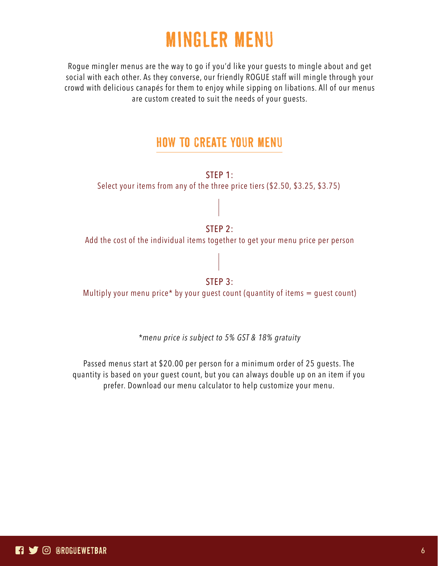# MINGLER MENU

Rogue mingler menus are the way to go if you'd like your guests to mingle about and get social with each other. As they converse, our friendly ROGUE staff will mingle through your crowd with delicious canapés for them to enjoy while sipping on libations. All of our menus are custom created to suit the needs of your guests.

### HOW TO CREATE YOUR MENU

STEP 1: Select your items from any of the three price tiers (\$2.50, \$3.25, \$3.75)

#### STEP 2:

Add the cost of the individual items together to get your menu price per person

#### STEP 3:

Multiply your menu price\* by your guest count (quantity of items  $=$  guest count)

*\*menu price is subject to 5% GST & 18% gratuity*

Passed menus start at \$20.00 per person for a minimum order of 25 guests. The quantity is based on your guest count, but you can always double up on an item if you prefer. Download our menu calculator to help customize your menu.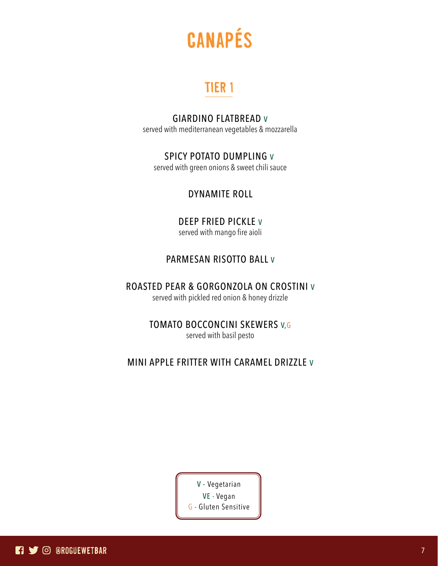

### TIER 1

#### GIARDINO FLATBREAD V

served with mediterranean vegetables & mozzarella

#### SPICY POTATO DUMPLING V

served with green onions & sweet chili sauce

#### DYNAMITE ROLL

#### DEEP FRIED PICKLE V

served with mango fire aioli

#### PARMESAN RISOTTO BALL V

#### ROASTED PEAR & GORGONZOLA ON CROSTINI V

served with pickled red onion & honey drizzle

#### TOMATO BOCCONCINI SKEWERS V,G

served with basil pesto

#### MINI APPLE FRITTER WITH CARAMEL DRIZZLE V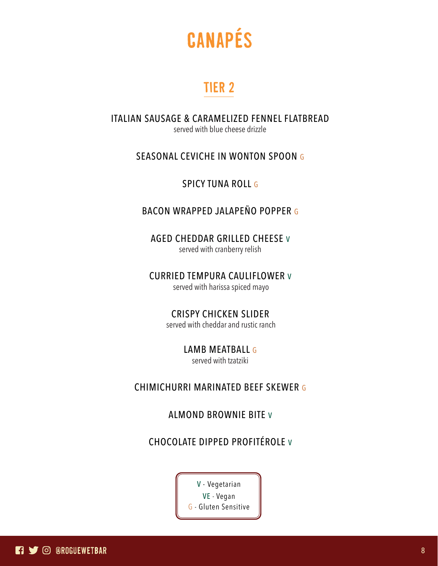

### TIER 2

ITALIAN SAUSAGE & CARAMELIZED FENNEL FLATBREAD served with blue cheese drizzle

#### SEASONAL CEVICHE IN WONTON SPOON G

SPICY TUNA ROLL G

#### BACON WRAPPED JALAPEÑO POPPER G

AGED CHEDDAR GRILLED CHEESE V served with cranberry relish

CURRIED TEMPURA CAULIFLOWER V served with harissa spiced mayo

CRISPY CHICKEN SLIDER

served with cheddar and rustic ranch

LAMB MEATBALL G

served with tzatziki

#### CHIMICHURRI MARINATED BEEF SKEWER G

ALMOND BROWNIE BITE V

#### CHOCOLATE DIPPED PROFITÉROLE V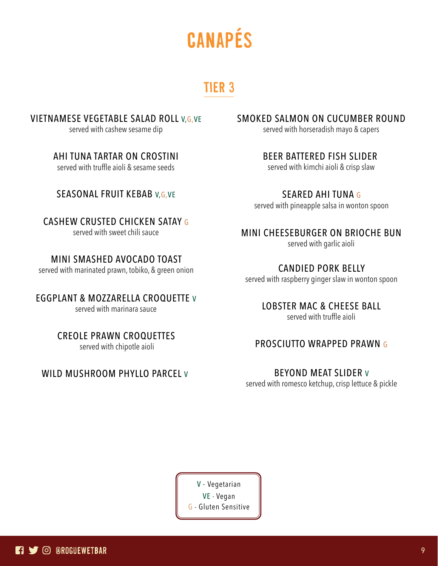# canapés

### TIER 3

VIETNAMESE VEGETABLE SALAD ROLL V,G,VE

served with cashew sesame dip

AHI TUNA TARTAR ON CROSTINI served with truffle aioli & sesame seeds

#### SEASONAL FRUIT KEBAB V, G, VE

CASHEW CRUSTED CHICKEN SATAY G served with sweet chili sauce

MINI SMASHED AVOCADO TOAST

served with marinated prawn, tobiko, & green onion

EGGPLANT & MOZZARELLA CROQUETTE V served with marinara sauce

> CREOLE PRAWN CROQUETTES served with chipotle aioli

WILD MUSHROOM PHYLLO PARCEL V

SMOKED SALMON ON CUCUMBER ROUND

served with horseradish mayo & capers

BEER BATTERED FISH SLIDER served with kimchi aioli & crisp slaw

SEARED AHI TUNA G served with pineapple salsa in wonton spoon

MINI CHEESEBURGER ON BRIOCHE BUN

served with garlic aioli

CANDIED PORK BELLY served with raspberry ginger slaw in wonton spoon

LOBSTER MAC & CHEESE BALL

served with truffle aioli

#### PROSCIUTTO WRAPPED PRAWN G

BEYOND MEAT SLIDER V served with romesco ketchup, crisp lettuce & pickle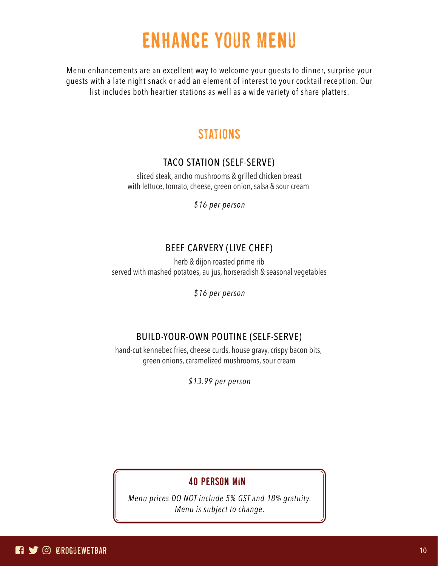# enhance your menu

Menu enhancements are an excellent way to welcome your guests to dinner, surprise your guests with a late night snack or add an element of interest to your cocktail reception. Our list includes both heartier stations as well as a wide variety of share platters.

### stations

#### TACO STATION (SELF-SERVE)

sliced steak, ancho mushrooms & grilled chicken breast with lettuce, tomato, cheese, green onion, salsa & sour cream

*\$16 per person*

#### BEEF CARVERY (LIVE CHEF)

herb & dijon roasted prime rib served with mashed potatoes, au jus, horseradish & seasonal vegetables

*\$16 per person*

#### BUILD-YOUR-OWN POUTINE (SELF-SERVE)

hand-cut kennebec fries, cheese curds, house gravy, crispy bacon bits, green onions, caramelized mushrooms, sour cream

*\$13.99 per person*

#### 40 person min

*Menu prices DO NOT include 5% GST and 18% gratuity. Menu is subject to change.*